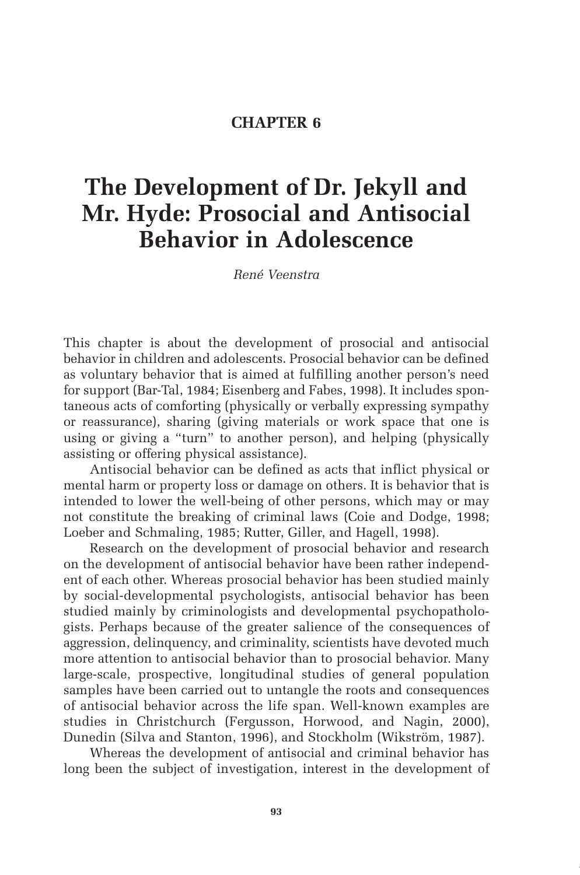#### **CHAPTER 6**

# **The Development of Dr. Jekyll and Mr. Hyde: Prosocial and Antisocial Behavior in Adolescence**

*René Veenstra*

This chapter is about the development of prosocial and antisocial behavior in children and adolescents. Prosocial behavior can be defined as voluntary behavior that is aimed at fulfilling another person's need for support (Bar-Tal, 1984; Eisenberg and Fabes, 1998). It includes spontaneous acts of comforting (physically or verbally expressing sympathy or reassurance), sharing (giving materials or work space that one is using or giving a "turn" to another person), and helping (physically assisting or offering physical assistance).

Antisocial behavior can be defined as acts that inflict physical or mental harm or property loss or damage on others. It is behavior that is intended to lower the well-being of other persons, which may or may not constitute the breaking of criminal laws (Coie and Dodge, 1998; Loeber and Schmaling, 1985; Rutter, Giller, and Hagell, 1998).

Research on the development of prosocial behavior and research on the development of antisocial behavior have been rather independent of each other. Whereas prosocial behavior has been studied mainly by social-developmental psychologists, antisocial behavior has been studied mainly by criminologists and developmental psychopathologists. Perhaps because of the greater salience of the consequences of aggression, delinquency, and criminality, scientists have devoted much more attention to antisocial behavior than to prosocial behavior. Many large-scale, prospective, longitudinal studies of general population samples have been carried out to untangle the roots and consequences of antisocial behavior across the life span. Well-known examples are studies in Christchurch (Fergusson, Horwood, and Nagin, 2000), Dunedin (Silva and Stanton, 1996), and Stockholm (Wikström, 1987).

Whereas the development of antisocial and criminal behavior has long been the subject of investigation, interest in the development of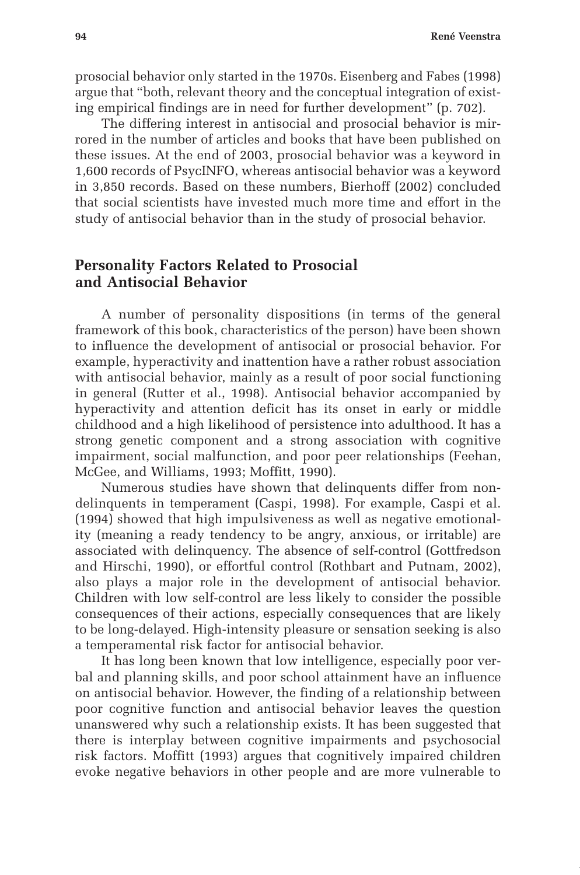prosocial behavior only started in the 1970s. Eisenberg and Fabes (1998) argue that "both, relevant theory and the conceptual integration of existing empirical findings are in need for further development" (p. 702).

The differing interest in antisocial and prosocial behavior is mirrored in the number of articles and books that have been published on these issues. At the end of 2003, prosocial behavior was a keyword in 1,600 records of PsycINFO, whereas antisocial behavior was a keyword in 3,850 records. Based on these numbers, Bierhoff (2002) concluded that social scientists have invested much more time and effort in the study of antisocial behavior than in the study of prosocial behavior.

# **Personality Factors Related to Prosocial and Antisocial Behavior**

A number of personality dispositions (in terms of the general framework of this book, characteristics of the person) have been shown to influence the development of antisocial or prosocial behavior. For example, hyperactivity and inattention have a rather robust association with antisocial behavior, mainly as a result of poor social functioning in general (Rutter et al., 1998). Antisocial behavior accompanied by hyperactivity and attention deficit has its onset in early or middle childhood and a high likelihood of persistence into adulthood. It has a strong genetic component and a strong association with cognitive impairment, social malfunction, and poor peer relationships (Feehan, McGee, and Williams, 1993; Moffitt, 1990).

Numerous studies have shown that delinquents differ from nondelinquents in temperament (Caspi, 1998). For example, Caspi et al. (1994) showed that high impulsiveness as well as negative emotionality (meaning a ready tendency to be angry, anxious, or irritable) are associated with delinquency. The absence of self-control (Gottfredson and Hirschi, 1990), or effortful control (Rothbart and Putnam, 2002), also plays a major role in the development of antisocial behavior. Children with low self-control are less likely to consider the possible consequences of their actions, especially consequences that are likely to be long-delayed. High-intensity pleasure or sensation seeking is also a temperamental risk factor for antisocial behavior.

It has long been known that low intelligence, especially poor verbal and planning skills, and poor school attainment have an influence on antisocial behavior. However, the finding of a relationship between poor cognitive function and antisocial behavior leaves the question unanswered why such a relationship exists. It has been suggested that there is interplay between cognitive impairments and psychosocial risk factors. Moffitt (1993) argues that cognitively impaired children evoke negative behaviors in other people and are more vulnerable to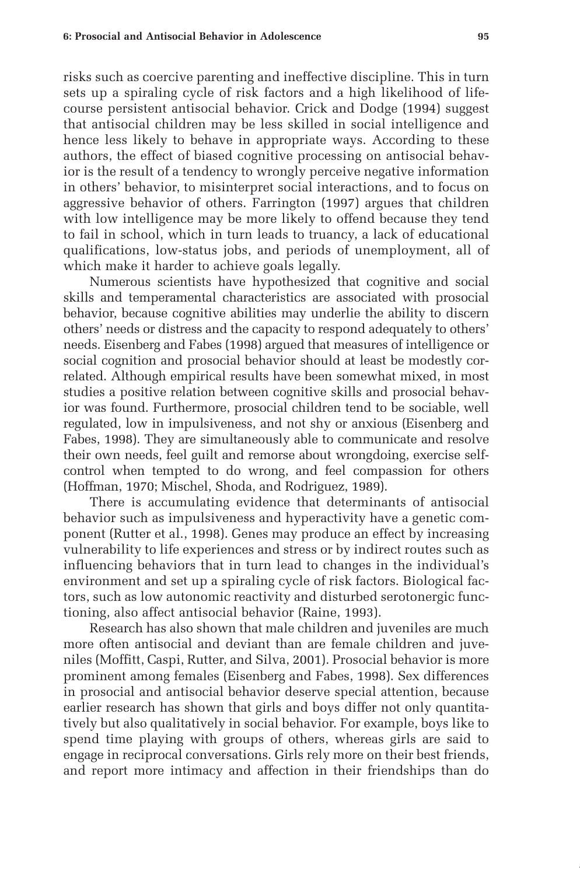risks such as coercive parenting and ineffective discipline. This in turn sets up a spiraling cycle of risk factors and a high likelihood of lifecourse persistent antisocial behavior. Crick and Dodge (1994) suggest that antisocial children may be less skilled in social intelligence and hence less likely to behave in appropriate ways. According to these authors, the effect of biased cognitive processing on antisocial behavior is the result of a tendency to wrongly perceive negative information in others' behavior, to misinterpret social interactions, and to focus on aggressive behavior of others. Farrington (1997) argues that children with low intelligence may be more likely to offend because they tend to fail in school, which in turn leads to truancy, a lack of educational qualifications, low-status jobs, and periods of unemployment, all of which make it harder to achieve goals legally.

Numerous scientists have hypothesized that cognitive and social skills and temperamental characteristics are associated with prosocial behavior, because cognitive abilities may underlie the ability to discern others' needs or distress and the capacity to respond adequately to others' needs. Eisenberg and Fabes (1998) argued that measures of intelligence or social cognition and prosocial behavior should at least be modestly correlated. Although empirical results have been somewhat mixed, in most studies a positive relation between cognitive skills and prosocial behavior was found. Furthermore, prosocial children tend to be sociable, well regulated, low in impulsiveness, and not shy or anxious (Eisenberg and Fabes, 1998). They are simultaneously able to communicate and resolve their own needs, feel guilt and remorse about wrongdoing, exercise selfcontrol when tempted to do wrong, and feel compassion for others (Hoffman, 1970; Mischel, Shoda, and Rodriguez, 1989).

There is accumulating evidence that determinants of antisocial behavior such as impulsiveness and hyperactivity have a genetic component (Rutter et al., 1998). Genes may produce an effect by increasing vulnerability to life experiences and stress or by indirect routes such as influencing behaviors that in turn lead to changes in the individual's environment and set up a spiraling cycle of risk factors. Biological factors, such as low autonomic reactivity and disturbed serotonergic functioning, also affect antisocial behavior (Raine, 1993).

Research has also shown that male children and juveniles are much more often antisocial and deviant than are female children and juveniles (Moffitt, Caspi, Rutter, and Silva, 2001). Prosocial behavior is more prominent among females (Eisenberg and Fabes, 1998). Sex differences in prosocial and antisocial behavior deserve special attention, because earlier research has shown that girls and boys differ not only quantitatively but also qualitatively in social behavior. For example, boys like to spend time playing with groups of others, whereas girls are said to engage in reciprocal conversations. Girls rely more on their best friends, and report more intimacy and affection in their friendships than do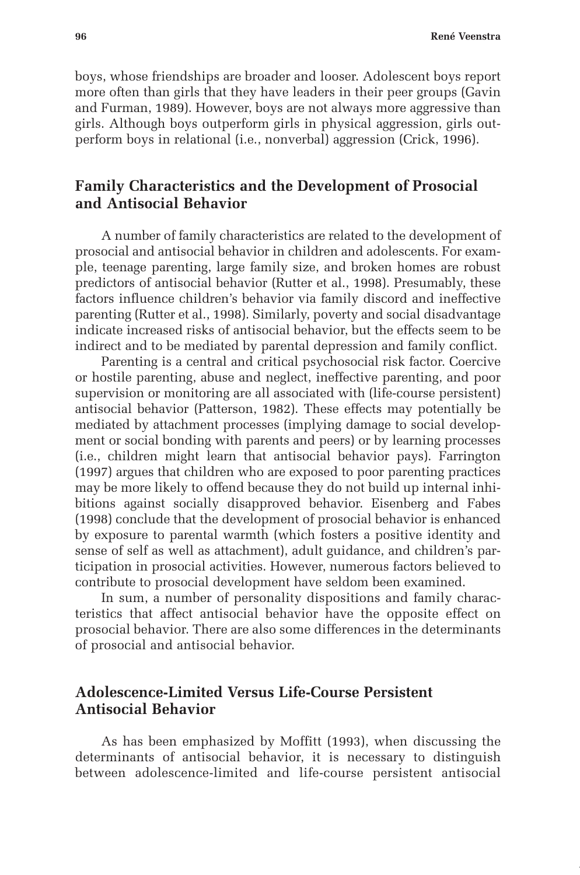boys, whose friendships are broader and looser. Adolescent boys report more often than girls that they have leaders in their peer groups (Gavin and Furman, 1989). However, boys are not always more aggressive than girls. Although boys outperform girls in physical aggression, girls outperform boys in relational (i.e., nonverbal) aggression (Crick, 1996).

# **Family Characteristics and the Development of Prosocial and Antisocial Behavior**

A number of family characteristics are related to the development of prosocial and antisocial behavior in children and adolescents. For example, teenage parenting, large family size, and broken homes are robust predictors of antisocial behavior (Rutter et al., 1998). Presumably, these factors influence children's behavior via family discord and ineffective parenting (Rutter et al., 1998). Similarly, poverty and social disadvantage indicate increased risks of antisocial behavior, but the effects seem to be indirect and to be mediated by parental depression and family conflict.

Parenting is a central and critical psychosocial risk factor. Coercive or hostile parenting, abuse and neglect, ineffective parenting, and poor supervision or monitoring are all associated with (life-course persistent) antisocial behavior (Patterson, 1982). These effects may potentially be mediated by attachment processes (implying damage to social development or social bonding with parents and peers) or by learning processes (i.e., children might learn that antisocial behavior pays). Farrington (1997) argues that children who are exposed to poor parenting practices may be more likely to offend because they do not build up internal inhibitions against socially disapproved behavior. Eisenberg and Fabes (1998) conclude that the development of prosocial behavior is enhanced by exposure to parental warmth (which fosters a positive identity and sense of self as well as attachment), adult guidance, and children's participation in prosocial activities. However, numerous factors believed to contribute to prosocial development have seldom been examined.

In sum, a number of personality dispositions and family characteristics that affect antisocial behavior have the opposite effect on prosocial behavior. There are also some differences in the determinants of prosocial and antisocial behavior.

### **Adolescence-Limited Versus Life-Course Persistent Antisocial Behavior**

As has been emphasized by Moffitt (1993), when discussing the determinants of antisocial behavior, it is necessary to distinguish between adolescence-limited and life-course persistent antisocial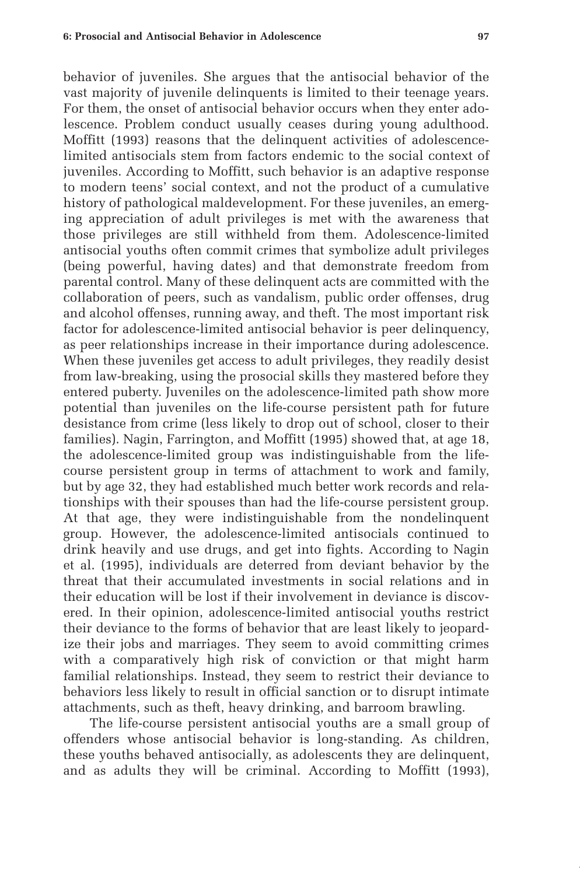behavior of juveniles. She argues that the antisocial behavior of the vast majority of juvenile delinquents is limited to their teenage years. For them, the onset of antisocial behavior occurs when they enter adolescence. Problem conduct usually ceases during young adulthood. Moffitt (1993) reasons that the delinquent activities of adolescencelimited antisocials stem from factors endemic to the social context of juveniles. According to Moffitt, such behavior is an adaptive response to modern teens' social context, and not the product of a cumulative history of pathological maldevelopment. For these juveniles, an emerging appreciation of adult privileges is met with the awareness that those privileges are still withheld from them. Adolescence-limited antisocial youths often commit crimes that symbolize adult privileges (being powerful, having dates) and that demonstrate freedom from parental control. Many of these delinquent acts are committed with the collaboration of peers, such as vandalism, public order offenses, drug and alcohol offenses, running away, and theft. The most important risk factor for adolescence-limited antisocial behavior is peer delinquency, as peer relationships increase in their importance during adolescence. When these juveniles get access to adult privileges, they readily desist from law-breaking, using the prosocial skills they mastered before they entered puberty. Juveniles on the adolescence-limited path show more potential than juveniles on the life-course persistent path for future desistance from crime (less likely to drop out of school, closer to their families). Nagin, Farrington, and Moffitt (1995) showed that, at age 18, the adolescence-limited group was indistinguishable from the lifecourse persistent group in terms of attachment to work and family, but by age 32, they had established much better work records and relationships with their spouses than had the life-course persistent group. At that age, they were indistinguishable from the nondelinquent group. However, the adolescence-limited antisocials continued to drink heavily and use drugs, and get into fights. According to Nagin et al. (1995), individuals are deterred from deviant behavior by the threat that their accumulated investments in social relations and in their education will be lost if their involvement in deviance is discovered. In their opinion, adolescence-limited antisocial youths restrict their deviance to the forms of behavior that are least likely to jeopardize their jobs and marriages. They seem to avoid committing crimes with a comparatively high risk of conviction or that might harm familial relationships. Instead, they seem to restrict their deviance to behaviors less likely to result in official sanction or to disrupt intimate attachments, such as theft, heavy drinking, and barroom brawling.

The life-course persistent antisocial youths are a small group of offenders whose antisocial behavior is long-standing. As children, these youths behaved antisocially, as adolescents they are delinquent, and as adults they will be criminal. According to Moffitt (1993),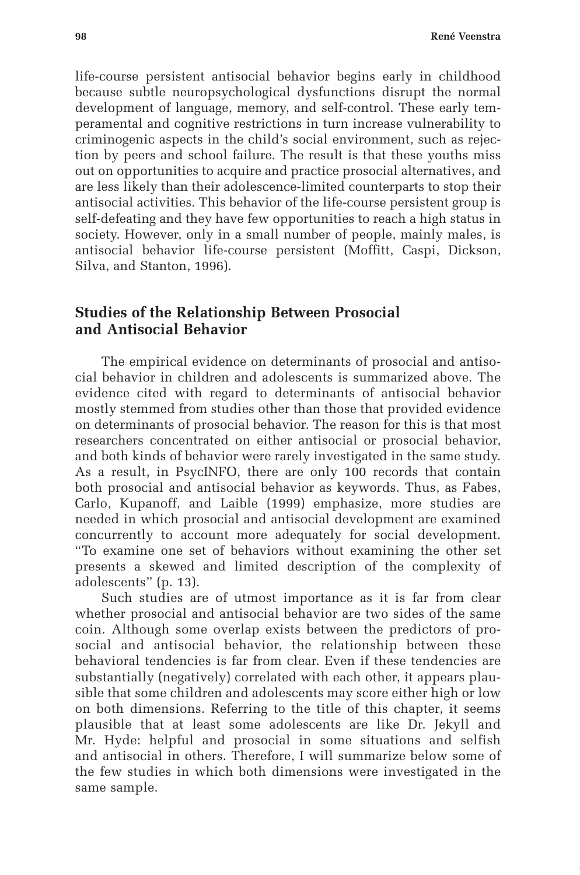life-course persistent antisocial behavior begins early in childhood because subtle neuropsychological dysfunctions disrupt the normal development of language, memory, and self-control. These early temperamental and cognitive restrictions in turn increase vulnerability to criminogenic aspects in the child's social environment, such as rejection by peers and school failure. The result is that these youths miss out on opportunities to acquire and practice prosocial alternatives, and are less likely than their adolescence-limited counterparts to stop their antisocial activities. This behavior of the life-course persistent group is self-defeating and they have few opportunities to reach a high status in society. However, only in a small number of people, mainly males, is antisocial behavior life-course persistent (Moffitt, Caspi, Dickson, Silva, and Stanton, 1996).

#### **Studies of the Relationship Between Prosocial and Antisocial Behavior**

The empirical evidence on determinants of prosocial and antisocial behavior in children and adolescents is summarized above. The evidence cited with regard to determinants of antisocial behavior mostly stemmed from studies other than those that provided evidence on determinants of prosocial behavior. The reason for this is that most researchers concentrated on either antisocial or prosocial behavior, and both kinds of behavior were rarely investigated in the same study. As a result, in PsycINFO, there are only 100 records that contain both prosocial and antisocial behavior as keywords. Thus, as Fabes, Carlo, Kupanoff, and Laible (1999) emphasize, more studies are needed in which prosocial and antisocial development are examined concurrently to account more adequately for social development. "To examine one set of behaviors without examining the other set presents a skewed and limited description of the complexity of adolescents" (p. 13).

Such studies are of utmost importance as it is far from clear whether prosocial and antisocial behavior are two sides of the same coin. Although some overlap exists between the predictors of prosocial and antisocial behavior, the relationship between these behavioral tendencies is far from clear. Even if these tendencies are substantially (negatively) correlated with each other, it appears plausible that some children and adolescents may score either high or low on both dimensions. Referring to the title of this chapter, it seems plausible that at least some adolescents are like Dr. Jekyll and Mr. Hyde: helpful and prosocial in some situations and selfish and antisocial in others. Therefore, I will summarize below some of the few studies in which both dimensions were investigated in the same sample.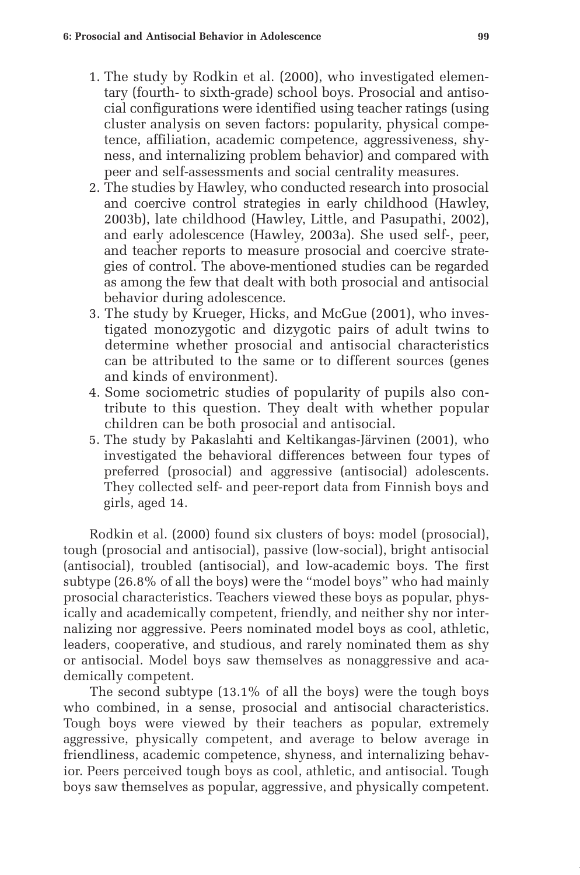- 1. The study by Rodkin et al. (2000), who investigated elementary (fourth- to sixth-grade) school boys. Prosocial and antisocial configurations were identified using teacher ratings (using cluster analysis on seven factors: popularity, physical competence, affiliation, academic competence, aggressiveness, shyness, and internalizing problem behavior) and compared with peer and self-assessments and social centrality measures.
- 2. The studies by Hawley, who conducted research into prosocial and coercive control strategies in early childhood (Hawley, 2003b), late childhood (Hawley, Little, and Pasupathi, 2002), and early adolescence (Hawley, 2003a). She used self-, peer, and teacher reports to measure prosocial and coercive strategies of control. The above-mentioned studies can be regarded as among the few that dealt with both prosocial and antisocial behavior during adolescence.
- 3. The study by Krueger, Hicks, and McGue (2001), who investigated monozygotic and dizygotic pairs of adult twins to determine whether prosocial and antisocial characteristics can be attributed to the same or to different sources (genes and kinds of environment).
- 4. Some sociometric studies of popularity of pupils also contribute to this question. They dealt with whether popular children can be both prosocial and antisocial.
- 5. The study by Pakaslahti and Keltikangas-Järvinen (2001), who investigated the behavioral differences between four types of preferred (prosocial) and aggressive (antisocial) adolescents. They collected self- and peer-report data from Finnish boys and girls, aged 14.

Rodkin et al. (2000) found six clusters of boys: model (prosocial), tough (prosocial and antisocial), passive (low-social), bright antisocial (antisocial), troubled (antisocial), and low-academic boys. The first subtype (26.8% of all the boys) were the "model boys" who had mainly prosocial characteristics. Teachers viewed these boys as popular, physically and academically competent, friendly, and neither shy nor internalizing nor aggressive. Peers nominated model boys as cool, athletic, leaders, cooperative, and studious, and rarely nominated them as shy or antisocial. Model boys saw themselves as nonaggressive and academically competent.

The second subtype (13.1% of all the boys) were the tough boys who combined, in a sense, prosocial and antisocial characteristics. Tough boys were viewed by their teachers as popular, extremely aggressive, physically competent, and average to below average in friendliness, academic competence, shyness, and internalizing behavior. Peers perceived tough boys as cool, athletic, and antisocial. Tough boys saw themselves as popular, aggressive, and physically competent.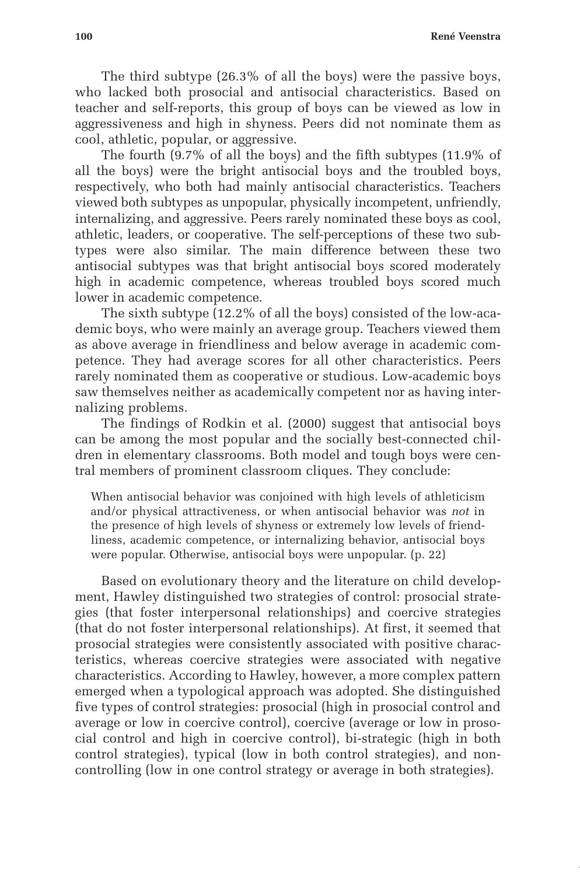The third subtype (26.3% of all the boys) were the passive boys, who lacked both prosocial and antisocial characteristics. Based on teacher and self-reports, this group of boys can be viewed as low in aggressiveness and high in shyness. Peers did not nominate them as cool, athletic, popular, or aggressive.

The fourth (9.7% of all the boys) and the fifth subtypes (11.9% of all the boys) were the bright antisocial boys and the troubled boys, respectively, who both had mainly antisocial characteristics. Teachers viewed both subtypes as unpopular, physically incompetent, unfriendly, internalizing, and aggressive. Peers rarely nominated these boys as cool, athletic, leaders, or cooperative. The self-perceptions of these two subtypes were also similar. The main difference between these two antisocial subtypes was that bright antisocial boys scored moderately high in academic competence, whereas troubled boys scored much lower in academic competence.

The sixth subtype (12.2% of all the boys) consisted of the low-academic boys, who were mainly an average group. Teachers viewed them as above average in friendliness and below average in academic competence. They had average scores for all other characteristics. Peers rarely nominated them as cooperative or studious. Low-academic boys saw themselves neither as academically competent nor as having internalizing problems.

The findings of Rodkin et al. (2000) suggest that antisocial boys can be among the most popular and the socially best-connected children in elementary classrooms. Both model and tough boys were central members of prominent classroom cliques. They conclude:

When antisocial behavior was conjoined with high levels of athleticism and/or physical attractiveness, or when antisocial behavior was *not* in the presence of high levels of shyness or extremely low levels of friendliness, academic competence, or internalizing behavior, antisocial boys were popular. Otherwise, antisocial boys were unpopular. (p. 22)

Based on evolutionary theory and the literature on child development, Hawley distinguished two strategies of control: prosocial strategies (that foster interpersonal relationships) and coercive strategies (that do not foster interpersonal relationships). At first, it seemed that prosocial strategies were consistently associated with positive characteristics, whereas coercive strategies were associated with negative characteristics. According to Hawley, however, a more complex pattern emerged when a typological approach was adopted. She distinguished five types of control strategies: prosocial (high in prosocial control and average or low in coercive control), coercive (average or low in prosocial control and high in coercive control), bi-strategic (high in both control strategies), typical (low in both control strategies), and noncontrolling (low in one control strategy or average in both strategies).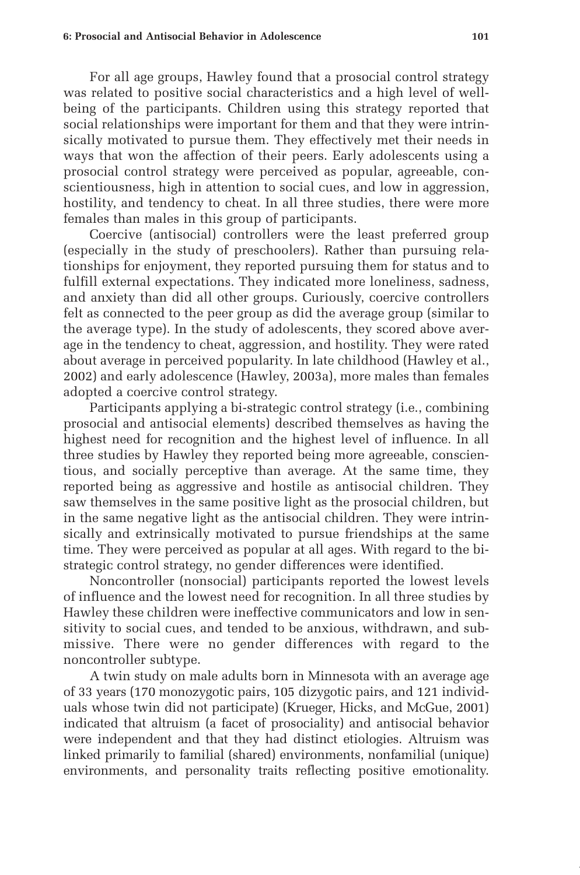For all age groups, Hawley found that a prosocial control strategy was related to positive social characteristics and a high level of wellbeing of the participants. Children using this strategy reported that social relationships were important for them and that they were intrinsically motivated to pursue them. They effectively met their needs in ways that won the affection of their peers. Early adolescents using a prosocial control strategy were perceived as popular, agreeable, conscientiousness, high in attention to social cues, and low in aggression, hostility, and tendency to cheat. In all three studies, there were more females than males in this group of participants.

Coercive (antisocial) controllers were the least preferred group (especially in the study of preschoolers). Rather than pursuing relationships for enjoyment, they reported pursuing them for status and to fulfill external expectations. They indicated more loneliness, sadness, and anxiety than did all other groups. Curiously, coercive controllers felt as connected to the peer group as did the average group (similar to the average type). In the study of adolescents, they scored above average in the tendency to cheat, aggression, and hostility. They were rated about average in perceived popularity. In late childhood (Hawley et al., 2002) and early adolescence (Hawley, 2003a), more males than females adopted a coercive control strategy.

Participants applying a bi-strategic control strategy (i.e., combining prosocial and antisocial elements) described themselves as having the highest need for recognition and the highest level of influence. In all three studies by Hawley they reported being more agreeable, conscientious, and socially perceptive than average. At the same time, they reported being as aggressive and hostile as antisocial children. They saw themselves in the same positive light as the prosocial children, but in the same negative light as the antisocial children. They were intrinsically and extrinsically motivated to pursue friendships at the same time. They were perceived as popular at all ages. With regard to the bistrategic control strategy, no gender differences were identified.

Noncontroller (nonsocial) participants reported the lowest levels of influence and the lowest need for recognition. In all three studies by Hawley these children were ineffective communicators and low in sensitivity to social cues, and tended to be anxious, withdrawn, and submissive. There were no gender differences with regard to the noncontroller subtype.

A twin study on male adults born in Minnesota with an average age of 33 years (170 monozygotic pairs, 105 dizygotic pairs, and 121 individuals whose twin did not participate) (Krueger, Hicks, and McGue, 2001) indicated that altruism (a facet of prosociality) and antisocial behavior were independent and that they had distinct etiologies. Altruism was linked primarily to familial (shared) environments, nonfamilial (unique) environments, and personality traits reflecting positive emotionality.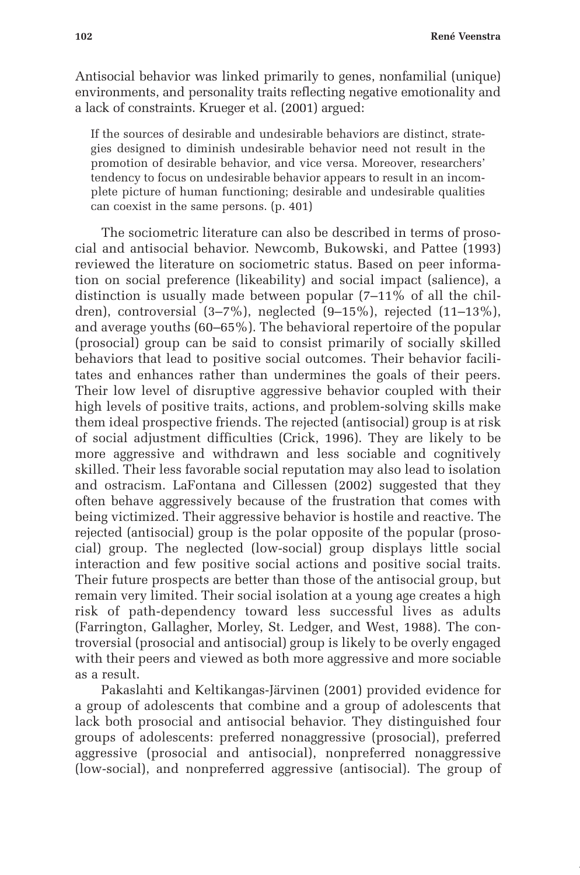Antisocial behavior was linked primarily to genes, nonfamilial (unique) environments, and personality traits reflecting negative emotionality and a lack of constraints. Krueger et al. (2001) argued:

If the sources of desirable and undesirable behaviors are distinct, strategies designed to diminish undesirable behavior need not result in the promotion of desirable behavior, and vice versa. Moreover, researchers' tendency to focus on undesirable behavior appears to result in an incomplete picture of human functioning; desirable and undesirable qualities can coexist in the same persons. (p. 401)

The sociometric literature can also be described in terms of prosocial and antisocial behavior. Newcomb, Bukowski, and Pattee (1993) reviewed the literature on sociometric status. Based on peer information on social preference (likeability) and social impact (salience), a distinction is usually made between popular (7–11% of all the children), controversial  $(3-7\%)$ , neglected  $(9-15\%)$ , rejected  $(11-13\%)$ , and average youths (60–65%). The behavioral repertoire of the popular (prosocial) group can be said to consist primarily of socially skilled behaviors that lead to positive social outcomes. Their behavior facilitates and enhances rather than undermines the goals of their peers. Their low level of disruptive aggressive behavior coupled with their high levels of positive traits, actions, and problem-solving skills make them ideal prospective friends. The rejected (antisocial) group is at risk of social adjustment difficulties (Crick, 1996). They are likely to be more aggressive and withdrawn and less sociable and cognitively skilled. Their less favorable social reputation may also lead to isolation and ostracism. LaFontana and Cillessen (2002) suggested that they often behave aggressively because of the frustration that comes with being victimized. Their aggressive behavior is hostile and reactive. The rejected (antisocial) group is the polar opposite of the popular (prosocial) group. The neglected (low-social) group displays little social interaction and few positive social actions and positive social traits. Their future prospects are better than those of the antisocial group, but remain very limited. Their social isolation at a young age creates a high risk of path-dependency toward less successful lives as adults (Farrington, Gallagher, Morley, St. Ledger, and West, 1988). The controversial (prosocial and antisocial) group is likely to be overly engaged with their peers and viewed as both more aggressive and more sociable as a result.

Pakaslahti and Keltikangas-Järvinen (2001) provided evidence for a group of adolescents that combine and a group of adolescents that lack both prosocial and antisocial behavior. They distinguished four groups of adolescents: preferred nonaggressive (prosocial), preferred aggressive (prosocial and antisocial), nonpreferred nonaggressive (low-social), and nonpreferred aggressive (antisocial). The group of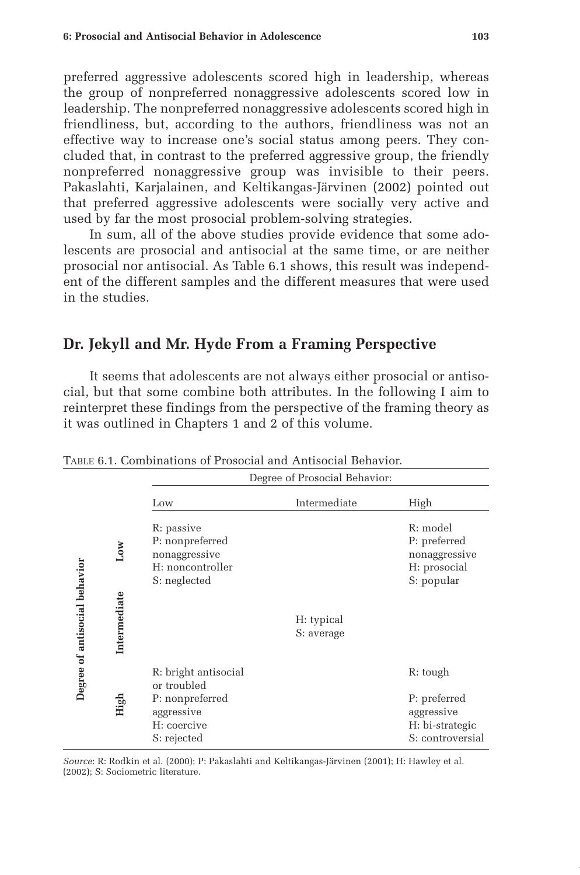preferred aggressive adolescents scored high in leadership, whereas the group of nonpreferred nonaggressive adolescents scored low in leadership. The nonpreferred nonaggressive adolescents scored high in friendliness, but, according to the authors, friendliness was not an effective way to increase one's social status among peers. They concluded that, in contrast to the preferred aggressive group, the friendly nonpreferred nonaggressive group was invisible to their peers. Pakaslahti, Karjalainen, and Keltikangas-Järvinen (2002) pointed out that preferred aggressive adolescents were socially very active and used by far the most prosocial problem-solving strategies.

In sum, all of the above studies provide evidence that some adolescents are prosocial and antisocial at the same time, or are neither prosocial nor antisocial. As Table 6.1 shows, this result was independent of the different samples and the different measures that were used in the studies.

### **Dr. Jekyll and Mr. Hyde From a Framing Perspective**

It seems that adolescents are not always either prosocial or antisocial, but that some combine both attributes. In the following I aim to reinterpret these findings from the perspective of the framing theory as it was outlined in Chapters 1 and 2 of this volume.

|                               |              | Degree of Prosocial Behavior:                                                                      |                          |                                                                               |
|-------------------------------|--------------|----------------------------------------------------------------------------------------------------|--------------------------|-------------------------------------------------------------------------------|
|                               |              | Low                                                                                                | Intermediate             | High                                                                          |
|                               | Low          | R: passive<br>P: nonpreferred<br>nonaggressive<br>H: noncontroller<br>S: neglected                 |                          | R: model<br>P: preferred<br>nonaggressive<br>H: prosocial<br>S: popular       |
| Degree of antisocial behavior | Intermediate |                                                                                                    | H: typical<br>S: average |                                                                               |
|                               | High         | R: bright antisocial<br>or troubled<br>P: nonpreferred<br>aggressive<br>H: coercive<br>S: rejected |                          | R: tough<br>P: preferred<br>aggressive<br>H: bi-strategic<br>S: controversial |

TABLE 6.1. Combinations of Prosocial and Antisocial Behavior.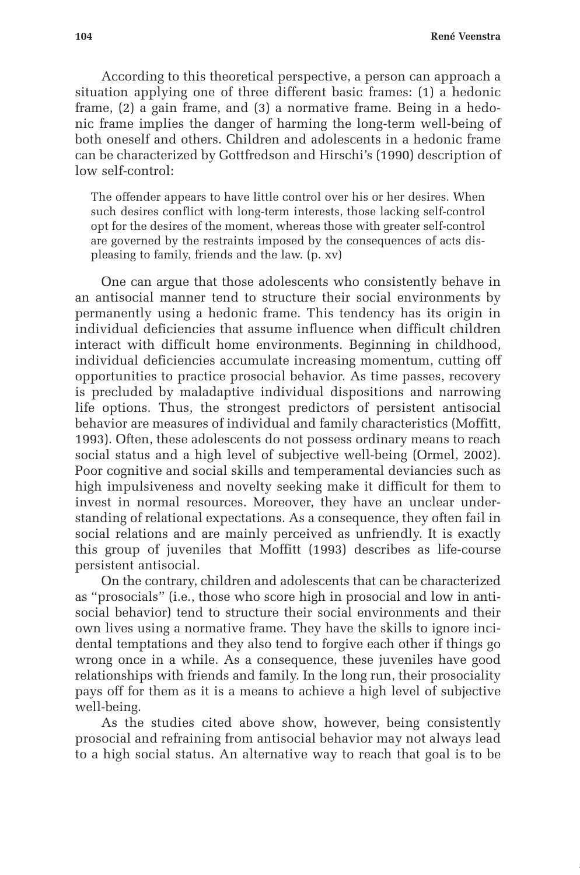According to this theoretical perspective, a person can approach a situation applying one of three different basic frames: (1) a hedonic frame, (2) a gain frame, and (3) a normative frame. Being in a hedonic frame implies the danger of harming the long-term well-being of both oneself and others. Children and adolescents in a hedonic frame can be characterized by Gottfredson and Hirschi's (1990) description of low self-control:

The offender appears to have little control over his or her desires. When such desires conflict with long-term interests, those lacking self-control opt for the desires of the moment, whereas those with greater self-control are governed by the restraints imposed by the consequences of acts displeasing to family, friends and the law. (p. xv)

One can argue that those adolescents who consistently behave in an antisocial manner tend to structure their social environments by permanently using a hedonic frame. This tendency has its origin in individual deficiencies that assume influence when difficult children interact with difficult home environments. Beginning in childhood, individual deficiencies accumulate increasing momentum, cutting off opportunities to practice prosocial behavior. As time passes, recovery is precluded by maladaptive individual dispositions and narrowing life options. Thus, the strongest predictors of persistent antisocial behavior are measures of individual and family characteristics (Moffitt, 1993). Often, these adolescents do not possess ordinary means to reach social status and a high level of subjective well-being (Ormel, 2002). Poor cognitive and social skills and temperamental deviancies such as high impulsiveness and novelty seeking make it difficult for them to invest in normal resources. Moreover, they have an unclear understanding of relational expectations. As a consequence, they often fail in social relations and are mainly perceived as unfriendly. It is exactly this group of juveniles that Moffitt (1993) describes as life-course persistent antisocial.

On the contrary, children and adolescents that can be characterized as "prosocials" (i.e., those who score high in prosocial and low in antisocial behavior) tend to structure their social environments and their own lives using a normative frame. They have the skills to ignore incidental temptations and they also tend to forgive each other if things go wrong once in a while. As a consequence, these juveniles have good relationships with friends and family. In the long run, their prosociality pays off for them as it is a means to achieve a high level of subjective well-being.

As the studies cited above show, however, being consistently prosocial and refraining from antisocial behavior may not always lead to a high social status. An alternative way to reach that goal is to be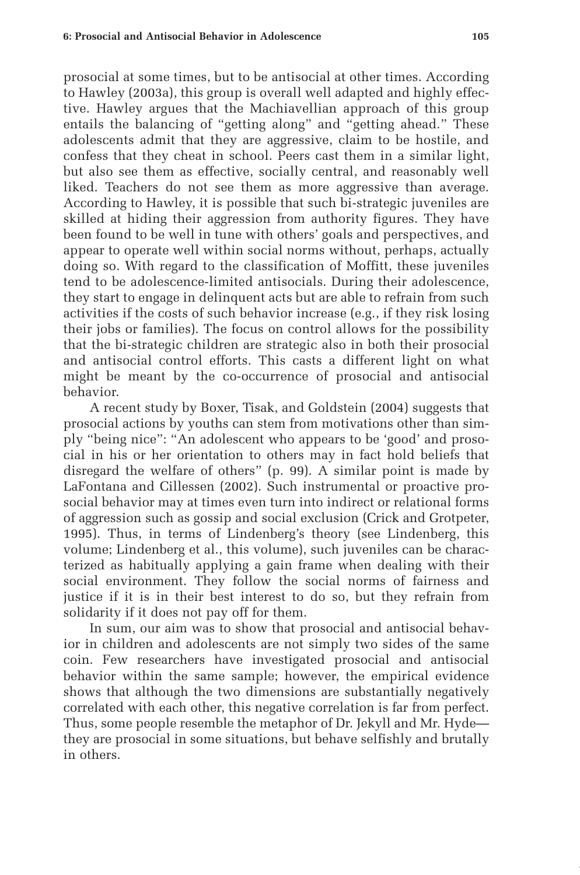prosocial at some times, but to be antisocial at other times. According to Hawley (2003a), this group is overall well adapted and highly effective. Hawley argues that the Machiavellian approach of this group entails the balancing of "getting along" and "getting ahead." These adolescents admit that they are aggressive, claim to be hostile, and confess that they cheat in school. Peers cast them in a similar light, but also see them as effective, socially central, and reasonably well liked. Teachers do not see them as more aggressive than average. According to Hawley, it is possible that such bi-strategic juveniles are skilled at hiding their aggression from authority figures. They have been found to be well in tune with others' goals and perspectives, and appear to operate well within social norms without, perhaps, actually doing so. With regard to the classification of Moffitt, these juveniles tend to be adolescence-limited antisocials. During their adolescence, they start to engage in delinquent acts but are able to refrain from such activities if the costs of such behavior increase (e.g., if they risk losing their jobs or families). The focus on control allows for the possibility that the bi-strategic children are strategic also in both their prosocial and antisocial control efforts. This casts a different light on what might be meant by the co-occurrence of prosocial and antisocial behavior.

A recent study by Boxer, Tisak, and Goldstein (2004) suggests that prosocial actions by youths can stem from motivations other than simply "being nice": "An adolescent who appears to be 'good' and prosocial in his or her orientation to others may in fact hold beliefs that disregard the welfare of others" (p. 99). A similar point is made by LaFontana and Cillessen (2002). Such instrumental or proactive prosocial behavior may at times even turn into indirect or relational forms of aggression such as gossip and social exclusion (Crick and Grotpeter, 1995). Thus, in terms of Lindenberg's theory (see Lindenberg, this volume; Lindenberg et al., this volume), such juveniles can be characterized as habitually applying a gain frame when dealing with their social environment. They follow the social norms of fairness and justice if it is in their best interest to do so, but they refrain from solidarity if it does not pay off for them.

In sum, our aim was to show that prosocial and antisocial behavior in children and adolescents are not simply two sides of the same coin. Few researchers have investigated prosocial and antisocial behavior within the same sample; however, the empirical evidence shows that although the two dimensions are substantially negatively correlated with each other, this negative correlation is far from perfect. Thus, some people resemble the metaphor of Dr. Jekyll and Mr. Hyde they are prosocial in some situations, but behave selfishly and brutally in others.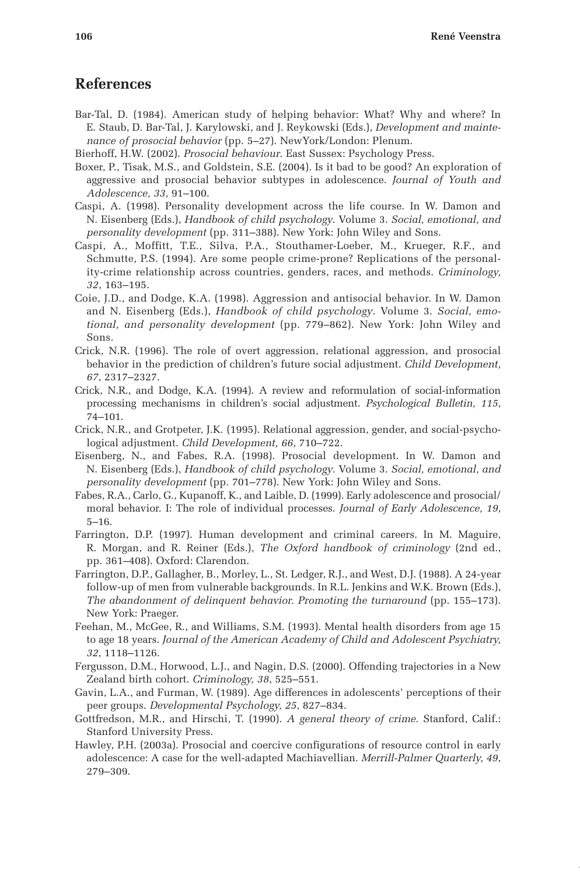#### **References**

- Bar-Tal, D. (1984). American study of helping behavior: What? Why and where? In E. Staub, D. Bar-Tal, J. Karylowski, and J. Reykowski (Eds.), *Development and maintenance of prosocial behavior* (pp. 5–27). NewYork/London: Plenum.
- Bierhoff, H.W. (2002). *Prosocial behaviour*. East Sussex: Psychology Press.
- Boxer, P., Tisak, M.S., and Goldstein, S.E. (2004). Is it bad to be good? An exploration of aggressive and prosocial behavior subtypes in adolescence. *Journal of Youth and Adolescence, 33*, 91–100.
- Caspi, A. (1998). Personality development across the life course. In W. Damon and N. Eisenberg (Eds.), *Handbook of child psychology*. Volume 3. *Social, emotional, and personality development* (pp. 311–388). New York: John Wiley and Sons.
- Caspi, A., Moffitt, T.E., Silva, P.A., Stouthamer-Loeber, M., Krueger, R.F., and Schmutte, P.S. (1994). Are some people crime-prone? Replications of the personality-crime relationship across countries, genders, races, and methods. *Criminology, 32*, 163–195.
- Coie, J.D., and Dodge, K.A. (1998). Aggression and antisocial behavior. In W. Damon and N. Eisenberg (Eds.), *Handbook of child psychology*. Volume 3. *Social, emotional, and personality development* (pp. 779–862). New York: John Wiley and Sons.
- Crick, N.R. (1996). The role of overt aggression, relational aggression, and prosocial behavior in the prediction of children's future social adjustment. *Child Development, 67*, 2317–2327.
- Crick, N.R., and Dodge, K.A. (1994). A review and reformulation of social-information processing mechanisms in children's social adjustment. *Psychological Bulletin, 115*, 74–101.
- Crick, N.R., and Grotpeter, J.K. (1995). Relational aggression, gender, and social-psychological adjustment. *Child Development, 66*, 710–722.
- Eisenberg, N., and Fabes, R.A. (1998). Prosocial development. In W. Damon and N. Eisenberg (Eds.), *Handbook of child psychology*. Volume 3. *Social, emotional, and personality development* (pp. 701–778). New York: John Wiley and Sons.
- Fabes, R.A., Carlo, G., Kupanoff, K., and Laible, D. (1999). Early adolescence and prosocial/ moral behavior. I: The role of individual processes. *Journal of Early Adolescence, 19*, 5–16.
- Farrington, D.P. (1997). Human development and criminal careers. In M. Maguire, R. Morgan, and R. Reiner (Eds.), *The Oxford handbook of criminology* (2nd ed., pp. 361–408). Oxford: Clarendon.
- Farrington, D.P., Gallagher, B., Morley, L., St. Ledger, R.J., and West, D.J. (1988). A 24-year follow-up of men from vulnerable backgrounds. In R.L. Jenkins and W.K. Brown (Eds.), *The abandonment of delinquent behavior. Promoting the turnaround* (pp. 155–173). New York: Praeger.
- Feehan, M., McGee, R., and Williams, S.M. (1993). Mental health disorders from age 15 to age 18 years. *Journal of the American Academy of Child and Adolescent Psychiatry, 32*, 1118–1126.
- Fergusson, D.M., Horwood, L.J., and Nagin, D.S. (2000). Offending trajectories in a New Zealand birth cohort. *Criminology, 38*, 525–551.
- Gavin, L.A., and Furman, W. (1989). Age differences in adolescents' perceptions of their peer groups. *Developmental Psychology, 25*, 827–834.
- Gottfredson, M.R., and Hirschi, T. (1990). *A general theory of crime*. Stanford, Calif.: Stanford University Press.
- Hawley, P.H. (2003a). Prosocial and coercive configurations of resource control in early adolescence: A case for the well-adapted Machiavellian. *Merrill-Palmer Quarterly, 49*, 279–309.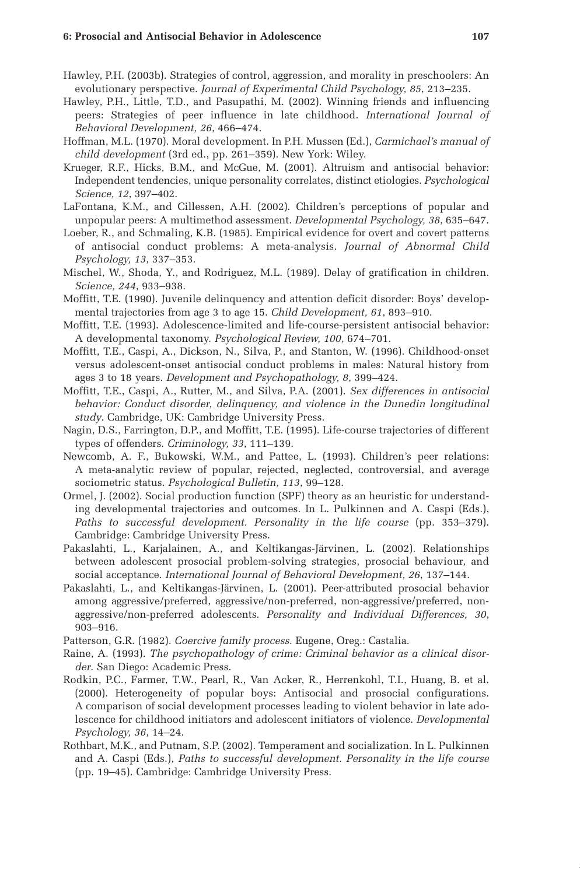#### **6: Prosocial and Antisocial Behavior in Adolescence 107**

- Hawley, P.H. (2003b). Strategies of control, aggression, and morality in preschoolers: An evolutionary perspective. *Journal of Experimental Child Psychology, 85*, 213–235.
- Hawley, P.H., Little, T.D., and Pasupathi, M. (2002). Winning friends and influencing peers: Strategies of peer influence in late childhood. *International Journal of Behavioral Development, 26*, 466–474.
- Hoffman, M.L. (1970). Moral development. In P.H. Mussen (Ed.), *Carmichael's manual of child development* (3rd ed., pp. 261–359). New York: Wiley.
- Krueger, R.F., Hicks, B.M., and McGue, M. (2001). Altruism and antisocial behavior: Independent tendencies, unique personality correlates, distinct etiologies. *Psychological Science, 12*, 397–402.
- LaFontana, K.M., and Cillessen, A.H. (2002). Children's perceptions of popular and unpopular peers: A multimethod assessment. *Developmental Psychology, 38*, 635–647.
- Loeber, R., and Schmaling, K.B. (1985). Empirical evidence for overt and covert patterns of antisocial conduct problems: A meta-analysis. *Journal of Abnormal Child Psychology, 13*, 337–353.
- Mischel, W., Shoda, Y., and Rodriguez, M.L. (1989). Delay of gratification in children. *Science, 244*, 933–938.
- Moffitt, T.E. (1990). Juvenile delinquency and attention deficit disorder: Boys' developmental trajectories from age 3 to age 15. *Child Development, 61*, 893–910.
- Moffitt, T.E. (1993). Adolescence-limited and life-course-persistent antisocial behavior: A developmental taxonomy. *Psychological Review, 100*, 674–701.
- Moffitt, T.E., Caspi, A., Dickson, N., Silva, P., and Stanton, W. (1996). Childhood-onset versus adolescent-onset antisocial conduct problems in males: Natural history from ages 3 to 18 years. *Development and Psychopathology, 8*, 399–424.
- Moffitt, T.E., Caspi, A., Rutter, M., and Silva, P.A. (2001). *Sex differences in antisocial behavior: Conduct disorder, delinquency, and violence in the Dunedin longitudinal study*. Cambridge, UK: Cambridge University Press.
- Nagin, D.S., Farrington, D.P., and Moffitt, T.E. (1995). Life-course trajectories of different types of offenders. *Criminology, 33*, 111–139.
- Newcomb, A. F., Bukowski, W.M., and Pattee, L. (1993). Children's peer relations: A meta-analytic review of popular, rejected, neglected, controversial, and average sociometric status. *Psychological Bulletin, 113*, 99–128.
- Ormel, J. (2002). Social production function (SPF) theory as an heuristic for understanding developmental trajectories and outcomes. In L. Pulkinnen and A. Caspi (Eds.), *Paths to successful development. Personality in the life course* (pp. 353–379). Cambridge: Cambridge University Press.
- Pakaslahti, L., Karjalainen, A., and Keltikangas-Järvinen, L. (2002). Relationships between adolescent prosocial problem-solving strategies, prosocial behaviour, and social acceptance. *International Journal of Behavioral Development, 26*, 137–144.
- Pakaslahti, L., and Keltikangas-Järvinen, L. (2001). Peer-attributed prosocial behavior among aggressive/preferred, aggressive/non-preferred, non-aggressive/preferred, nonaggressive/non-preferred adolescents. *Personality and Individual Differences, 30*, 903–916.
- Patterson, G.R. (1982). *Coercive family process*. Eugene, Oreg.: Castalia.
- Raine, A. (1993). *The psychopathology of crime: Criminal behavior as a clinical disorder*. San Diego: Academic Press.
- Rodkin, P.C., Farmer, T.W., Pearl, R., Van Acker, R., Herrenkohl, T.I., Huang, B. et al. (2000). Heterogeneity of popular boys: Antisocial and prosocial configurations. A comparison of social development processes leading to violent behavior in late adolescence for childhood initiators and adolescent initiators of violence. *Developmental Psychology, 36*, 14–24.
- Rothbart, M.K., and Putnam, S.P. (2002). Temperament and socialization. In L. Pulkinnen and A. Caspi (Eds.), *Paths to successful development. Personality in the life course* (pp. 19–45). Cambridge: Cambridge University Press.